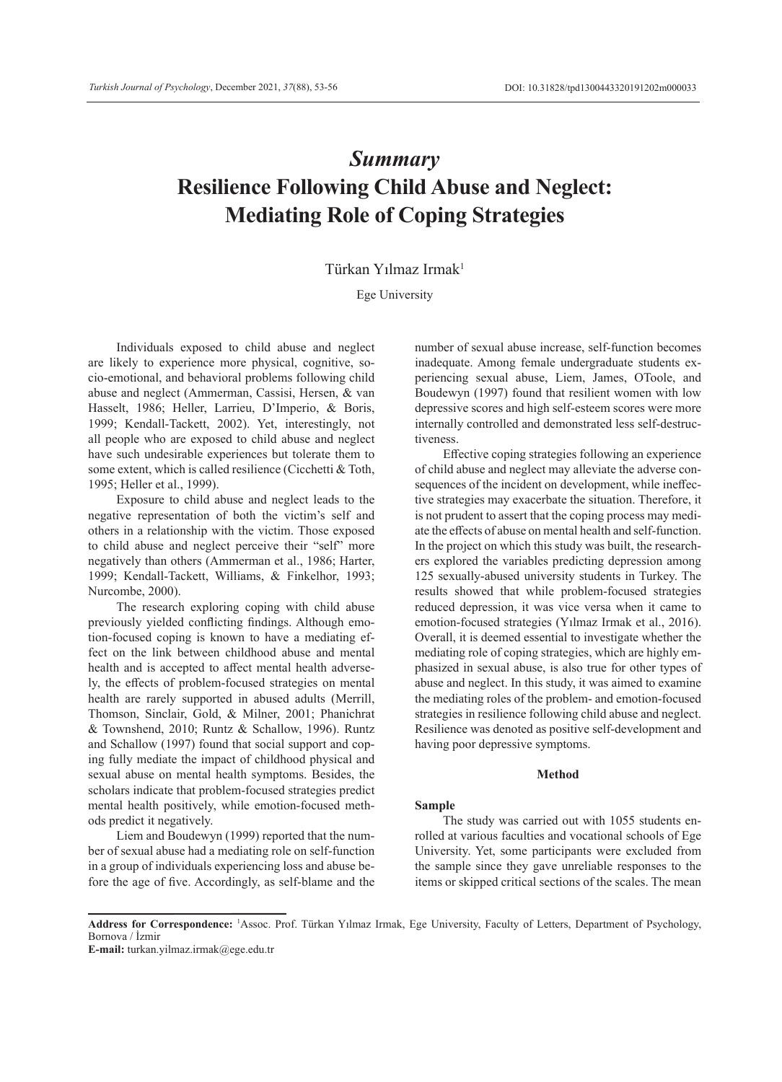# *Summary* **Resilience Following Child Abuse and Neglect: Mediating Role of Coping Strategies**

# Türkan Yılmaz Irmak<sup>1</sup>

Ege University

Individuals exposed to child abuse and neglect are likely to experience more physical, cognitive, socio-emotional, and behavioral problems following child abuse and neglect (Ammerman, Cassisi, Hersen, & van Hasselt, 1986; Heller, Larrieu, D'Imperio, & Boris, 1999; Kendall-Tackett, 2002). Yet, interestingly, not all people who are exposed to child abuse and neglect have such undesirable experiences but tolerate them to some extent, which is called resilience (Cicchetti & Toth, 1995; Heller et al., 1999).

Exposure to child abuse and neglect leads to the negative representation of both the victim's self and others in a relationship with the victim. Those exposed to child abuse and neglect perceive their "self" more negatively than others (Ammerman et al., 1986; Harter, 1999; Kendall-Tackett, Williams, & Finkelhor, 1993; Nurcombe, 2000).

The research exploring coping with child abuse previously yielded conflicting findings. Although emotion-focused coping is known to have a mediating effect on the link between childhood abuse and mental health and is accepted to affect mental health adversely, the effects of problem-focused strategies on mental health are rarely supported in abused adults (Merrill, Thomson, Sinclair, Gold, & Milner, 2001; Phanichrat & Townshend, 2010; Runtz & Schallow, 1996). Runtz and Schallow (1997) found that social support and coping fully mediate the impact of childhood physical and sexual abuse on mental health symptoms. Besides, the scholars indicate that problem-focused strategies predict mental health positively, while emotion-focused methods predict it negatively.

Liem and Boudewyn (1999) reported that the number of sexual abuse had a mediating role on self-function in a group of individuals experiencing loss and abuse before the age of five. Accordingly, as self-blame and the

number of sexual abuse increase, self-function becomes inadequate. Among female undergraduate students experiencing sexual abuse, Liem, James, OToole, and Boudewyn (1997) found that resilient women with low depressive scores and high self-esteem scores were more internally controlled and demonstrated less self-destructiveness

Effective coping strategies following an experience of child abuse and neglect may alleviate the adverse consequences of the incident on development, while ineffective strategies may exacerbate the situation. Therefore, it is not prudent to assert that the coping process may mediate the effects of abuse on mental health and self-function. In the project on which this study was built, the researchers explored the variables predicting depression among 125 sexually-abused university students in Turkey. The results showed that while problem-focused strategies reduced depression, it was vice versa when it came to emotion-focused strategies (Yılmaz Irmak et al., 2016). Overall, it is deemed essential to investigate whether the mediating role of coping strategies, which are highly emphasized in sexual abuse, is also true for other types of abuse and neglect. In this study, it was aimed to examine the mediating roles of the problem- and emotion-focused strategies in resilience following child abuse and neglect. Resilience was denoted as positive self-development and having poor depressive symptoms.

#### **Method**

#### **Sample**

The study was carried out with 1055 students enrolled at various faculties and vocational schools of Ege University. Yet, some participants were excluded from the sample since they gave unreliable responses to the items or skipped critical sections of the scales. The mean

**E-mail:** turkan.yilmaz.irmak@ege.edu.tr

**Address for Correspondence:** <sup>1</sup> Assoc. Prof. Türkan Yılmaz Irmak, Ege University, Faculty of Letters, Department of Psychology, Bornova / İzmir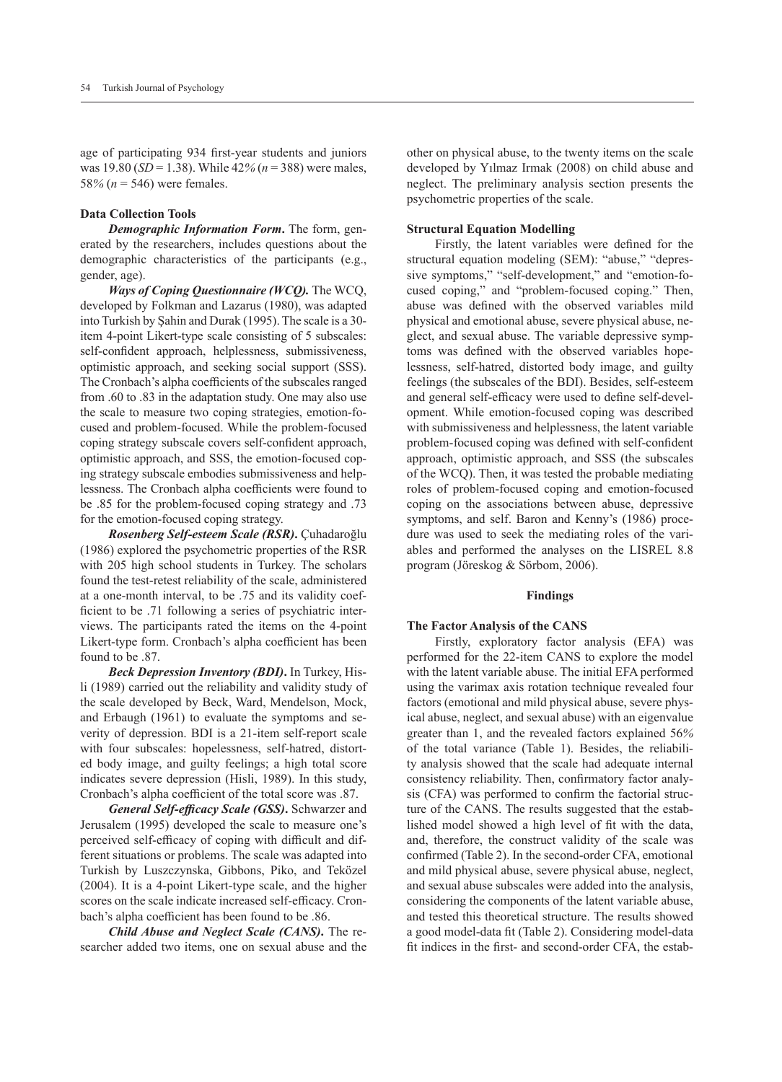age of participating 934 first-year students and juniors was 19.80 (*SD* = 1.38). While 42*%* (*n* = 388) were males, 58% ( $n = 546$ ) were females.

# **Data Collection Tools**

*Demographic Information Form***.** The form, generated by the researchers, includes questions about the demographic characteristics of the participants (e.g., gender, age).

*Ways of Coping Questionnaire (WCQ).* The WCQ, developed by Folkman and Lazarus (1980), was adapted into Turkish by Şahin and Durak (1995). The scale is a 30 item 4-point Likert-type scale consisting of 5 subscales: self-confident approach, helplessness, submissiveness, optimistic approach, and seeking social support (SSS). The Cronbach's alpha coefficients of the subscales ranged from .60 to .83 in the adaptation study. One may also use the scale to measure two coping strategies, emotion-focused and problem-focused. While the problem-focused coping strategy subscale covers self-confident approach, optimistic approach, and SSS, the emotion-focused coping strategy subscale embodies submissiveness and helplessness. The Cronbach alpha coefficients were found to be .85 for the problem-focused coping strategy and .73 for the emotion-focused coping strategy.

*Rosenberg Self-esteem Scale (RSR)***.** Çuhadaroğlu (1986) explored the psychometric properties of the RSR with 205 high school students in Turkey. The scholars found the test-retest reliability of the scale, administered at a one-month interval, to be .75 and its validity coefficient to be .71 following a series of psychiatric interviews. The participants rated the items on the 4-point Likert-type form. Cronbach's alpha coefficient has been found to be .87.

*Beck Depression Inventory (BDI)***.** In Turkey, Hisli (1989) carried out the reliability and validity study of the scale developed by Beck, Ward, Mendelson, Mock, and Erbaugh (1961) to evaluate the symptoms and severity of depression. BDI is a 21-item self-report scale with four subscales: hopelessness, self-hatred, distorted body image, and guilty feelings; a high total score indicates severe depression (Hisli, 1989). In this study, Cronbach's alpha coefficient of the total score was .87.

*General Self-efficacy Scale (GSS)***.** Schwarzer and Jerusalem (1995) developed the scale to measure one's perceived self-efficacy of coping with difficult and different situations or problems. The scale was adapted into Turkish by Luszczynska, Gibbons, Piko, and Teközel (2004). It is a 4-point Likert-type scale, and the higher scores on the scale indicate increased self-efficacy. Cronbach's alpha coefficient has been found to be .86.

*Child Abuse and Neglect Scale (CANS)***.** The researcher added two items, one on sexual abuse and the other on physical abuse, to the twenty items on the scale developed by Yılmaz Irmak (2008) on child abuse and neglect. The preliminary analysis section presents the psychometric properties of the scale.

## **Structural Equation Modelling**

Firstly, the latent variables were defined for the structural equation modeling (SEM): "abuse," "depressive symptoms," "self-development," and "emotion-focused coping," and "problem-focused coping." Then, abuse was defined with the observed variables mild physical and emotional abuse, severe physical abuse, neglect, and sexual abuse. The variable depressive symptoms was defined with the observed variables hopelessness, self-hatred, distorted body image, and guilty feelings (the subscales of the BDI). Besides, self-esteem and general self-efficacy were used to define self-development. While emotion-focused coping was described with submissiveness and helplessness, the latent variable problem-focused coping was defined with self-confident approach, optimistic approach, and SSS (the subscales of the WCQ). Then, it was tested the probable mediating roles of problem-focused coping and emotion-focused coping on the associations between abuse, depressive symptoms, and self. Baron and Kenny's (1986) procedure was used to seek the mediating roles of the variables and performed the analyses on the LISREL 8.8 program (Jöreskog & Sörbom, 2006).

#### **Findings**

## **The Factor Analysis of the CANS**

Firstly, exploratory factor analysis (EFA) was performed for the 22-item CANS to explore the model with the latent variable abuse. The initial EFA performed using the varimax axis rotation technique revealed four factors (emotional and mild physical abuse, severe physical abuse, neglect, and sexual abuse) with an eigenvalue greater than 1, and the revealed factors explained 56*%* of the total variance (Table 1). Besides, the reliability analysis showed that the scale had adequate internal consistency reliability. Then, confirmatory factor analysis (CFA) was performed to confirm the factorial structure of the CANS. The results suggested that the established model showed a high level of fit with the data, and, therefore, the construct validity of the scale was confirmed (Table 2). In the second-order CFA, emotional and mild physical abuse, severe physical abuse, neglect, and sexual abuse subscales were added into the analysis, considering the components of the latent variable abuse, and tested this theoretical structure. The results showed a good model-data fit (Table 2). Considering model-data fit indices in the first- and second-order CFA, the estab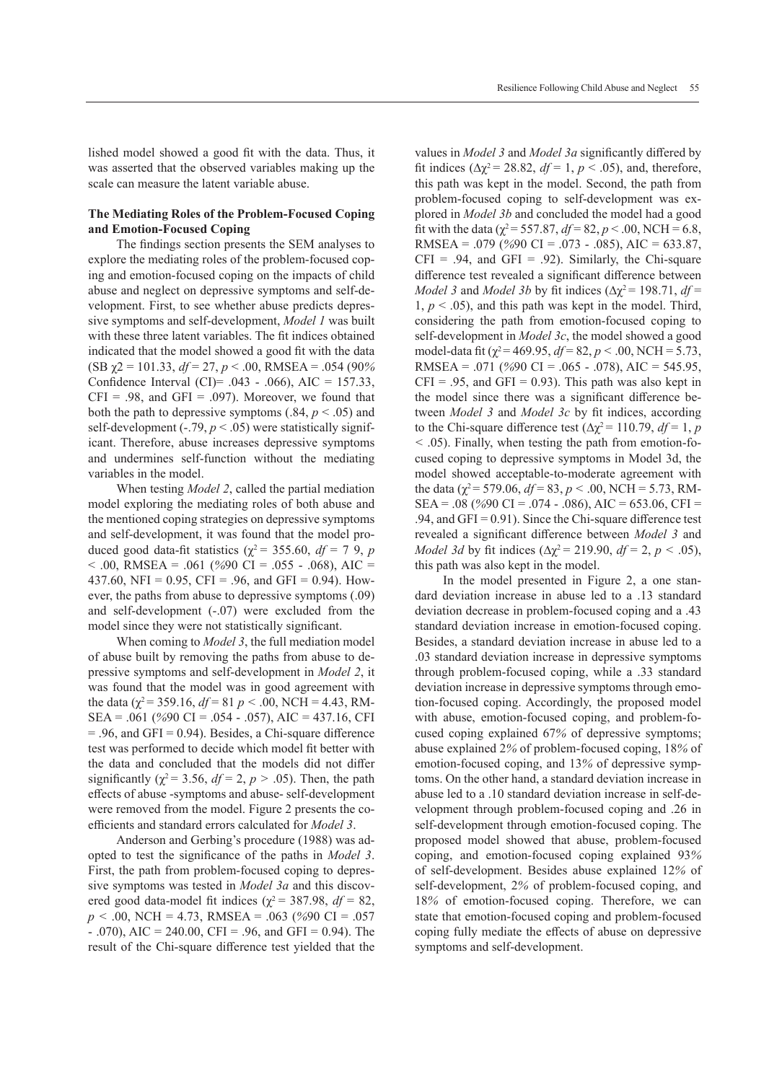lished model showed a good fit with the data. Thus, it was asserted that the observed variables making up the scale can measure the latent variable abuse.

# **The Mediating Roles of the Problem-Focused Coping and Emotion-Focused Coping**

The findings section presents the SEM analyses to explore the mediating roles of the problem-focused coping and emotion-focused coping on the impacts of child abuse and neglect on depressive symptoms and self-development. First, to see whether abuse predicts depressive symptoms and self-development, *Model 1* was built with these three latent variables. The fit indices obtained indicated that the model showed a good fit with the data (SB χ2 = 101.33, *df* = 27, *p* < .00, RMSEA = .054 (90*%* Confidence Interval (CI)=  $.043 - .066$ ), AIC = 157.33,  $CFI = .98$ , and  $GFI = .097$ ). Moreover, we found that both the path to depressive symptoms  $(.84, p < .05)$  and self-development  $(-.79, p < .05)$  were statistically significant. Therefore, abuse increases depressive symptoms and undermines self-function without the mediating variables in the model.

When testing *Model 2*, called the partial mediation model exploring the mediating roles of both abuse and the mentioned coping strategies on depressive symptoms and self-development, it was found that the model produced good data-fit statistics ( $\chi^2$  = 355.60, *df* = 7 9, *p* < .00, RMSEA = .061 (*%*90 CI = .055 - .068), AIC = 437.60, NFI =  $0.95$ , CFI =  $.96$ , and GFI = 0.94). However, the paths from abuse to depressive symptoms (.09) and self-development (-.07) were excluded from the model since they were not statistically significant.

When coming to *Model 3*, the full mediation model of abuse built by removing the paths from abuse to depressive symptoms and self-development in *Model 2*, it was found that the model was in good agreement with the data ( $\gamma^2$  = 359.16,  $df$  = 81 *p* < .00, NCH = 4.43, RM-SEA = .061 (*%*90 CI = .054 - .057), AIC = 437.16, CFI = .96, and GFI = 0.94). Besides, a Chi-square difference test was performed to decide which model fit better with the data and concluded that the models did not differ significantly ( $\chi^2$  = 3.56,  $df$  = 2,  $p > .05$ ). Then, the path effects of abuse -symptoms and abuse- self-development were removed from the model. Figure 2 presents the coefficients and standard errors calculated for *Model 3*.

Anderson and Gerbing's procedure (1988) was adopted to test the significance of the paths in *Model 3*. First, the path from problem-focused coping to depressive symptoms was tested in *Model 3a* and this discovered good data-model fit indices ( $\chi^2$  = 387.98, *df* = 82, *p <* .00, NCH = 4.73, RMSEA = .063 (*%*90 CI = .057  $-$ .070), AIC = 240.00, CFI = .96, and GFI = 0.94). The result of the Chi-square difference test yielded that the values in *Model 3* and *Model 3a* significantly differed by fit indices ( $\Delta \chi^2$  = 28.82,  $df$  = 1,  $p$  < .05), and, therefore, this path was kept in the model. Second, the path from problem-focused coping to self-development was explored in *Model 3b* and concluded the model had a good fit with the data ( $\chi^2$  = 557.87, *df* = 82, *p* < .00, NCH = 6.8, RMSEA = .079 (*%*90 CI = .073 - .085), AIC = 633.87,  $CFI = .94$ , and  $GFI = .92$ ). Similarly, the Chi-square difference test revealed a significant difference between *Model 3* and *Model 3b* by fit indices ( $\Delta \chi^2$  = 198.71, *df* =  $1, p \leq 0.05$ ), and this path was kept in the model. Third, considering the path from emotion-focused coping to self-development in *Model 3c*, the model showed a good model-data fit ( $\chi^2$  = 469.95,  $df$  = 82,  $p$  < .00, NCH = 5.73, RMSEA = .071 (*%*90 CI = .065 - .078), AIC = 545.95,  $CFI = .95$ , and  $GFI = 0.93$ ). This path was also kept in the model since there was a significant difference between *Model 3* and *Model 3c* by fit indices, according to the Chi-square difference test ( $\Delta \chi^2$  = 110.79, *df* = 1, *p <* .05). Finally, when testing the path from emotion-focused coping to depressive symptoms in Model 3d, the model showed acceptable-to-moderate agreement with the data ( $\chi^2$  = 579.06,  $df$  = 83,  $p < .00$ , NCH = 5.73, RM-SEA = .08 (*%*90 CI = .074 - .086), AIC = 653.06, CFI = .94, and GFI =  $0.91$ ). Since the Chi-square difference test revealed a significant difference between *Model 3* and *Model 3d* by fit indices ( $Δχ² = 219.90$ ,  $df = 2$ ,  $p < .05$ ), this path was also kept in the model.

In the model presented in Figure 2, a one standard deviation increase in abuse led to a .13 standard deviation decrease in problem-focused coping and a .43 standard deviation increase in emotion-focused coping. Besides, a standard deviation increase in abuse led to a .03 standard deviation increase in depressive symptoms through problem-focused coping, while a .33 standard deviation increase in depressive symptoms through emotion-focused coping. Accordingly, the proposed model with abuse, emotion-focused coping, and problem-focused coping explained 67*%* of depressive symptoms; abuse explained 2*%* of problem-focused coping, 18*%* of emotion-focused coping, and 13*%* of depressive symptoms. On the other hand, a standard deviation increase in abuse led to a .10 standard deviation increase in self-development through problem-focused coping and .26 in self-development through emotion-focused coping. The proposed model showed that abuse, problem-focused coping, and emotion-focused coping explained 93*%* of self-development. Besides abuse explained 12*%* of self-development, 2*%* of problem-focused coping, and 18*%* of emotion-focused coping. Therefore, we can state that emotion-focused coping and problem-focused coping fully mediate the effects of abuse on depressive symptoms and self-development.